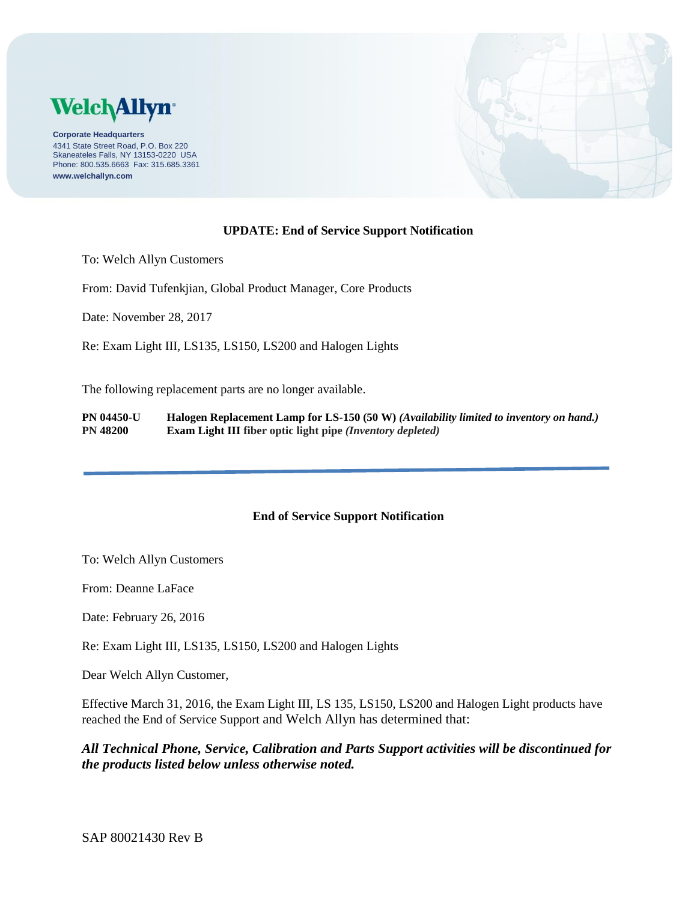

**Corporate Headquarters** 4341 State Street Road, P.O. Box 220 Skaneateles Falls, NY 13153-0220 USA Phone: 800.535.6663 Fax: 315.685.3361 **www.welchallyn.com**



## **UPDATE: End of Service Support Notification**

To: Welch Allyn Customers

From: David Tufenkjian, Global Product Manager, Core Products

Date: November 28, 2017

Re: Exam Light III, LS135, LS150, LS200 and Halogen Lights

The following replacement parts are no longer available.

**PN 04450-U Halogen Replacement Lamp for LS-150 (50 W)** *(Availability limited to inventory on hand.)* **PN 48200 Exam Light III fiber optic light pipe** *(Inventory depleted)*

## **End of Service Support Notification**

To: Welch Allyn Customers

From: Deanne LaFace

Date: February 26, 2016

Re: Exam Light III, LS135, LS150, LS200 and Halogen Lights

Dear Welch Allyn Customer,

Effective March 31, 2016, the Exam Light III, LS 135, LS150, LS200 and Halogen Light products have reached the End of Service Support and Welch Allyn has determined that:

*All Technical Phone, Service, Calibration and Parts Support activities will be discontinued for the products listed below unless otherwise noted.*